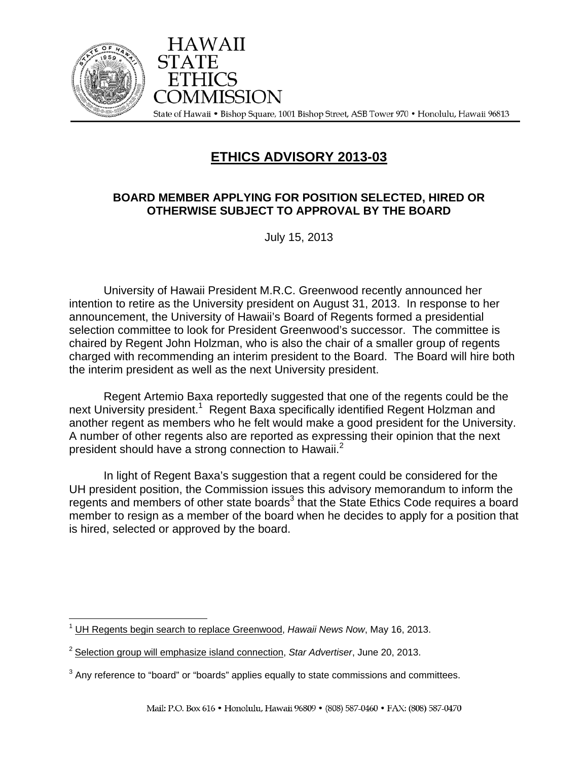

HAWAII COMMISSION State of Hawaii • Bishop Square, 1001 Bishop Street, ASB Tower 970 • Honolulu, Hawaii 96813

## **ETHICS ADVISORY 2013-03**

## **BOARD MEMBER APPLYING FOR POSITION SELECTED, HIRED OR OTHERWISE SUBJECT TO APPROVAL BY THE BOARD**

July 15, 2013

 University of Hawaii President M.R.C. Greenwood recently announced her intention to retire as the University president on August 31, 2013. In response to her announcement, the University of Hawaii's Board of Regents formed a presidential selection committee to look for President Greenwood's successor. The committee is chaired by Regent John Holzman, who is also the chair of a smaller group of regents charged with recommending an interim president to the Board. The Board will hire both the interim president as well as the next University president.

 Regent Artemio Baxa reportedly suggested that one of the regents could be the next University president.<sup>1</sup> Regent Baxa specifically identified Regent Holzman and another regent as members who he felt would make a good president for the University. A number of other regents also are reported as expressing their opinion that the next president should have a strong connection to Hawaii.<sup>2</sup>

 In light of Regent Baxa's suggestion that a regent could be considered for the UH president position, the Commission issues this advisory memorandum to inform the regents and members of other state boards $3$  that the State Ethics Code requires a board member to resign as a member of the board when he decides to apply for a position that is hired, selected or approved by the board.

<sup>&</sup>lt;u>.</u> <sup>1</sup> UH Regents begin search to replace Greenwood, Hawaii News Now, May 16, 2013.

<sup>2</sup> Selection group will emphasize island connection, *Star Advertiser*, June 20, 2013.

 $3$  Any reference to "board" or "boards" applies equally to state commissions and committees.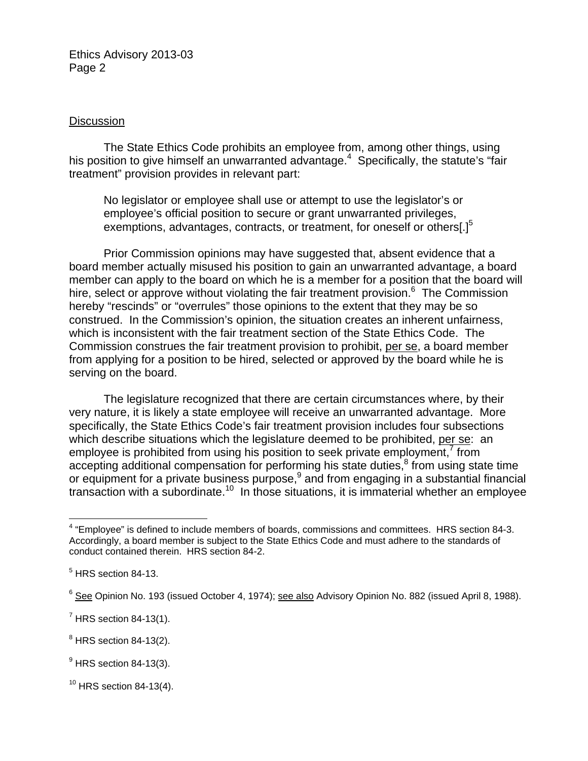Ethics Advisory 2013-03 Page 2

## **Discussion**

The State Ethics Code prohibits an employee from, among other things, using his position to give himself an unwarranted advantage.<sup>4</sup> Specifically, the statute's "fair treatment" provision provides in relevant part:

No legislator or employee shall use or attempt to use the legislator's or employee's official position to secure or grant unwarranted privileges, exemptions, advantages, contracts, or treatment, for oneself or others $[.]^5$ 

 Prior Commission opinions may have suggested that, absent evidence that a board member actually misused his position to gain an unwarranted advantage, a board member can apply to the board on which he is a member for a position that the board will hire, select or approve without violating the fair treatment provision.<sup>6</sup> The Commission hereby "rescinds" or "overrules" those opinions to the extent that they may be so construed. In the Commission's opinion, the situation creates an inherent unfairness, which is inconsistent with the fair treatment section of the State Ethics Code. The Commission construes the fair treatment provision to prohibit, per se, a board member from applying for a position to be hired, selected or approved by the board while he is serving on the board.

 The legislature recognized that there are certain circumstances where, by their very nature, it is likely a state employee will receive an unwarranted advantage. More specifically, the State Ethics Code's fair treatment provision includes four subsections which describe situations which the legislature deemed to be prohibited, per se: an employee is prohibited from using his position to seek private employment, $\frac{7}{1}$  from accepting additional compensation for performing his state duties, $<sup>8</sup>$  from using state time</sup> or equipment for a private business purpose, $9$  and from engaging in a substantial financial transaction with a subordinate.<sup>10</sup> In those situations, it is immaterial whether an employee

 4 "Employee" is defined to include members of boards, commissions and committees. HRS section 84-3. Accordingly, a board member is subject to the State Ethics Code and must adhere to the standards of conduct contained therein. HRS section 84-2.

<sup>&</sup>lt;sup>5</sup> HRS section 84-13.

<sup>&</sup>lt;sup>6</sup> See Opinion No. 193 (issued October 4, 1974); see also Advisory Opinion No. 882 (issued April 8, 1988).

 $<sup>7</sup>$  HRS section 84-13(1).</sup>

 $^8$  HRS section 84-13(2).

 $<sup>9</sup>$  HRS section 84-13(3).</sup>

 $10$  HRS section 84-13(4).